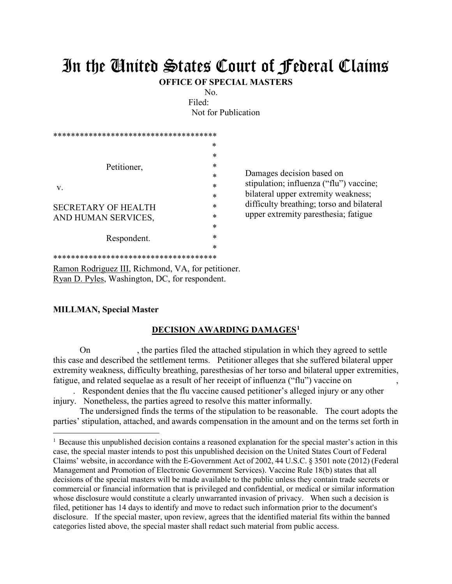## In the United States Court of Federal Claims

**OFFICE OF SPECIAL MASTERS**

No.

Filed: Not for Publication

| **************************************                                |        |                                                                                                                                                                                                  |
|-----------------------------------------------------------------------|--------|--------------------------------------------------------------------------------------------------------------------------------------------------------------------------------------------------|
|                                                                       | ∗      | Damages decision based on<br>stipulation; influenza ("flu") vaccine;<br>bilateral upper extremity weakness;<br>difficulty breathing; torso and bilateral<br>upper extremity paresthesia; fatigue |
| Petitioner,<br>V<br><b>SECRETARY OF HEALTH</b><br>AND HUMAN SERVICES, | *      |                                                                                                                                                                                                  |
|                                                                       | ∗      |                                                                                                                                                                                                  |
|                                                                       | *      |                                                                                                                                                                                                  |
|                                                                       | *      |                                                                                                                                                                                                  |
|                                                                       | *      |                                                                                                                                                                                                  |
|                                                                       | *      |                                                                                                                                                                                                  |
|                                                                       | *      |                                                                                                                                                                                                  |
|                                                                       | $\ast$ |                                                                                                                                                                                                  |
| Respondent.                                                           | *      |                                                                                                                                                                                                  |
|                                                                       | ∗      |                                                                                                                                                                                                  |
|                                                                       |        |                                                                                                                                                                                                  |

\*\*\*\*\*\*\*\*\*\*\*\*\*\*\*\*\*\*\*\*\*\*\*\*\*\*\*\*\*\*\*\*\*\*\*\*\*

Ramon Rodriguez III, Richmond, VA, for petitioner. Ryan D. Pyles, Washington, DC, for respondent.

## **MILLMAN, Special Master**

 $\overline{a}$ 

## **DECISION AWARDING DAMAGES1**

On , the parties filed the attached stipulation in which they agreed to settle this case and described the settlement terms. Petitioner alleges that she suffered bilateral upper extremity weakness, difficulty breathing, paresthesias of her torso and bilateral upper extremities, fatigue, and related sequelae as a result of her receipt of influenza ("flu") vaccine on

 . Respondent denies that the flu vaccine caused petitioner's alleged injury or any other injury. Nonetheless, the parties agreed to resolve this matter informally.

 The undersigned finds the terms of the stipulation to be reasonable. The court adopts the parties' stipulation, attached, and awards compensation in the amount and on the terms set forth in

<sup>&</sup>lt;sup>1</sup> Because this unpublished decision contains a reasoned explanation for the special master's action in this case, the special master intends to post this unpublished decision on the United States Court of Federal Claims' website, in accordance with the E-Government Act of 2002, 44 U.S.C. § 3501 note (2012) (Federal Management and Promotion of Electronic Government Services). Vaccine Rule 18(b) states that all decisions of the special masters will be made available to the public unless they contain trade secrets or commercial or financial information that is privileged and confidential, or medical or similar information whose disclosure would constitute a clearly unwarranted invasion of privacy. When such a decision is filed, petitioner has 14 days to identify and move to redact such information prior to the document's disclosure. If the special master, upon review, agrees that the identified material fits within the banned categories listed above, the special master shall redact such material from public access.